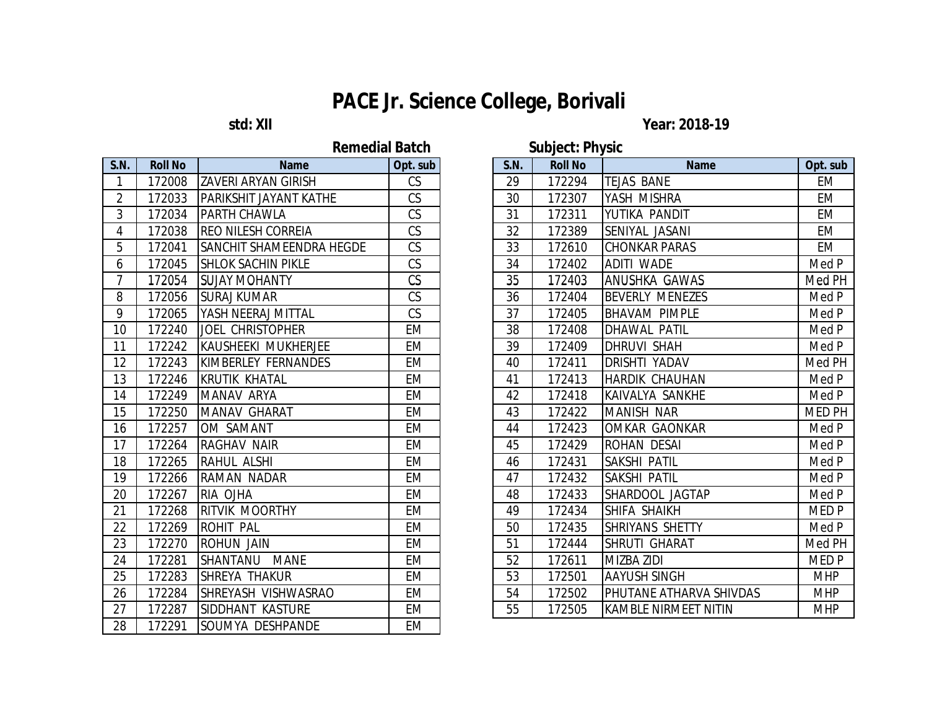## **std: XII** Year: 2018-19

# **Remedial Batch Subject: Physic**

| <b>S.N.</b>    | <b>Roll No</b> | <b>Name</b>                | Opt. sub               |
|----------------|----------------|----------------------------|------------------------|
| 1              | 172008         | <b>ZAVERI ARYAN GIRISH</b> | CS                     |
| $\overline{2}$ | 172033         | PARIKSHIT JAYANT KATHE     | CS                     |
| 3              | 172034         | PARTH CHAWLA               | CS                     |
| $\overline{4}$ | 172038         | <b>REO NILESH CORREIA</b>  | $\overline{\text{CS}}$ |
| $\overline{5}$ | 172041         | SANCHIT SHAMEENDRA HEGDE   | CS                     |
| 6              | 172045         | <b>SHLOK SACHIN PIKLE</b>  | CS                     |
| $\overline{7}$ | 172054         | <b>SUJAY MOHANTY</b>       | CS                     |
| 8              | 172056         | <b>SURAJ KUMAR</b>         | CS                     |
| 9              | 172065         | YASH NEERAJ MITTAL         | CS                     |
| 10             | 172240         | <b>JOEL CHRISTOPHER</b>    | EM                     |
| 11             | 172242         | KAUSHEEKI MUKHERJEE        | <b>EM</b>              |
| 12             | 172243         | KIMBERLEY FERNANDES        | EM                     |
| 13             | 172246         | <b>KRUTIK KHATAL</b>       | <b>EM</b>              |
| 14             | 172249         | MANAV ARYA                 | <b>EM</b>              |
| 15             | 172250         | <b>MANAV GHARAT</b>        | <b>EM</b>              |
| 16             | 172257         | OM SAMANT                  | EM                     |
| 17             | 172264         | <b>RAGHAV NAIR</b>         | EM                     |
| 18             | 172265         | RAHUL ALSHI                | <b>EM</b>              |
| 19             | 172266         | <b>RAMAN NADAR</b>         | <b>EM</b>              |
| 20             | 172267         | RIA OJHA                   | <b>EM</b>              |
| 21             | 172268         | RITVIK MOORTHY             | EM                     |
| 22             | 172269         | ROHIT PAL                  | <b>EM</b>              |
| 23             | 172270         | <b>ROHUN JAIN</b>          | EM                     |
| 24             | 172281         | SHANTANU<br><b>MANE</b>    | <b>EM</b>              |
| 25             | 172283         | SHREYA THAKUR              | <b>EM</b>              |
| 26             | 172284         | SHREYASH VISHWASRAO        | <b>EM</b>              |
| 27             | 172287         | SIDDHANT KASTURE           | EM                     |
| 28             | 172291         | SOUMYA DESHPANDE           | EM                     |

|                |                            |           |                  | <b>SUDJECT: PRIVSIC</b> |                |                                |               |  |
|----------------|----------------------------|-----------|------------------|-------------------------|----------------|--------------------------------|---------------|--|
| <b>Roll No</b> | <b>Name</b>                | Opt. sub  |                  | S.N.                    | <b>Roll No</b> | <b>Name</b>                    | Opt. sub      |  |
| 172008         | <b>ZAVERI ARYAN GIRISH</b> | CS        |                  | 29                      | 172294         | <b>TEJAS BANE</b>              | <b>EM</b>     |  |
| 172033         | PARIKSHIT JAYANT KATHE     | CS        |                  | 30                      | 172307         | YASH MISHRA                    | <b>EM</b>     |  |
| 172034         | PARTH CHAWLA               | CS        |                  | 31                      | 172311         | YUTIKA PANDIT                  | <b>EM</b>     |  |
| 172038         | REO NILESH CORREIA         | CS        |                  | 32                      | 172389         | SENIYAL JASANI                 | <b>EM</b>     |  |
| 172041         | SANCHIT SHAMEENDRA HEGDE   | CS        |                  | 33                      | 172610         | <b>CHONKAR PARAS</b>           | <b>EM</b>     |  |
| 172045         | <b>SHLOK SACHIN PIKLE</b>  | CS        |                  | 34                      | 172402         | <b>ADITI WADE</b>              | Med P         |  |
| 172054         | <b>SUJAY MOHANTY</b>       | CS        |                  | 35                      | 172403         | ANUSHKA GAWAS                  | Med PH        |  |
| 172056         | <b>SURAJ KUMAR</b>         | CS        |                  | 36                      | 172404         | <b>BEVERLY MENEZES</b>         | Med P         |  |
| 172065         | YASH NEERAJ MITTAL         | CS        |                  | 37                      | 172405         | <b>BHAVAM PIMPLE</b>           | Med P         |  |
| 172240         | <b>JOEL CHRISTOPHER</b>    | <b>EM</b> |                  | 38                      | 172408         | <b>DHAWAL PATIL</b>            | Med P         |  |
| 172242         | KAUSHEEKI MUKHERJEE        | <b>EM</b> |                  | 39                      | 172409         | <b>DHRUVI SHAH</b>             | Med P         |  |
| 172243         | KIMBERLEY FERNANDES        | <b>EM</b> |                  | 40                      | 172411         | <b>DRISHTI YADAV</b>           | Med PH        |  |
| 172246         | <b>KRUTIK KHATAL</b>       | <b>EM</b> |                  | 41                      | 172413         | <b>HARDIK CHAUHAN</b>          | Med P         |  |
| 172249         | MANAV ARYA                 | EM        |                  | 42                      | 172418         | KAIVALYA SANKHE                | Med P         |  |
| 172250         | <b>MANAV GHARAT</b>        | <b>EM</b> |                  | 43                      | 172422         | <b>MANISH NAR</b>              | <b>MED PH</b> |  |
| 172257         | OM SAMANT                  | <b>EM</b> |                  | 44                      | 172423         | <b>OMKAR GAONKAR</b>           | Med P         |  |
| 172264         | <b>RAGHAV NAIR</b>         | <b>EM</b> |                  | 45                      | 172429         | <b>ROHAN DESAI</b>             | Med P         |  |
| 172265         | <b>RAHUL ALSHI</b>         | <b>EM</b> |                  | 46                      | 172431         | SAKSHI PATIL                   | Med P         |  |
| 172266         | <b>RAMAN NADAR</b>         | EM        |                  | 47                      | 172432         | <b>SAKSHI PATIL</b>            | Med P         |  |
| 172267         | RIA OJHA                   | <b>EM</b> |                  | 48                      | 172433         | SHARDOOL JAGTAP                | Med P         |  |
| 172268         | <b>RITVIK MOORTHY</b>      | <b>EM</b> |                  | 49                      | 172434         | <b>SHIFA SHAIKH</b>            | MED P         |  |
| 172269         | <b>ROHIT PAL</b>           | <b>EM</b> |                  | 50                      | 172435         | <b>SHRIYANS SHETTY</b>         | Med P         |  |
| 172270         | <b>ROHUN JAIN</b>          | <b>EM</b> |                  | 51                      | 172444         | <b>SHRUTI GHARAT</b>           | Med PH        |  |
| 172281         | SHANTANU MANE              | <b>EM</b> |                  | 52                      | 172611         | <b>MIZBA ZIDI</b>              | MED P         |  |
| 172283         | SHREYA THAKUR              | <b>EM</b> |                  | 53                      | 172501         | <b>AAYUSH SINGH</b>            | <b>MHP</b>    |  |
| 172284         | SHREYASH VISHWASRAO        | <b>EM</b> |                  | 54                      | 172502         | <b>PHUTANE ATHARVA SHIVDAS</b> | <b>MHP</b>    |  |
| 172287         | SIDDHANT KASTURE           | <b>EM</b> |                  | 55                      | 172505         | <b>KAMBLE NIRMEET NITIN</b>    | <b>MHP</b>    |  |
|                |                            |           | Reffiedial Datum |                         |                |                                |               |  |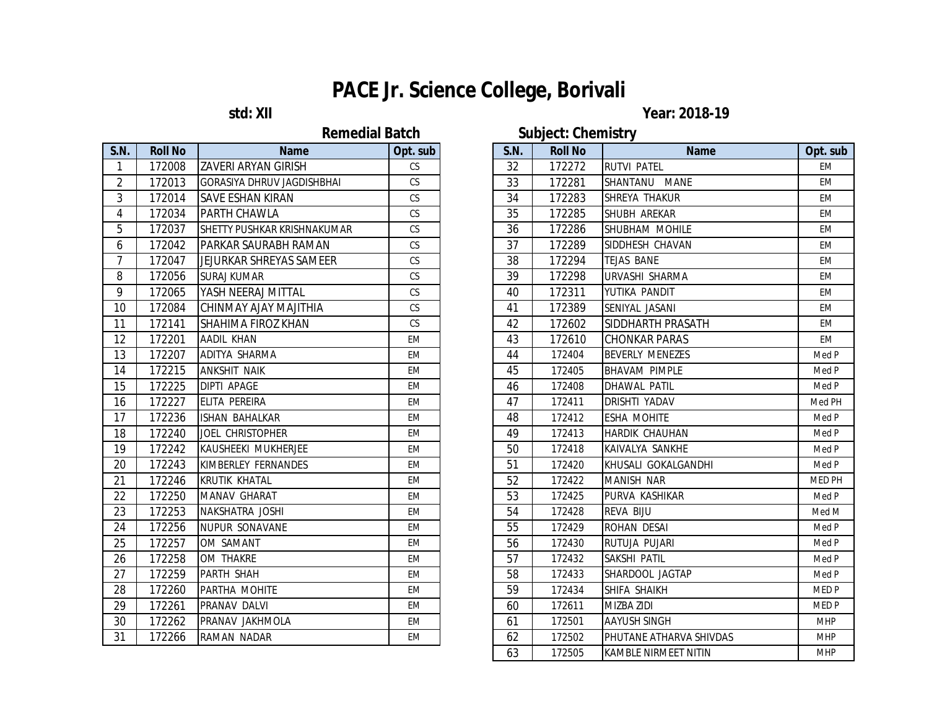**Remedial Batch Subject: Chemistry** 

| <b>S.N.</b>    | <b>Roll No</b> | <b>Name</b>                    | Opt. sub  |
|----------------|----------------|--------------------------------|-----------|
| 1              | 172008         | ZAVERI ARYAN GIRISH            | CS        |
| $\overline{2}$ | 172013         | GORASIYA DHRUV JAGDISHBHAI     | CS        |
| 3              | 172014         | SAVE ESHAN KIRAN               | CS        |
| 4              | 172034         | PARTH CHAWLA                   | <b>CS</b> |
| 5              | 172037         | SHETTY PUSHKAR KRISHNAKUMAR    | <b>CS</b> |
| 6              | 172042         | PARKAR SAURABH RAMAN           | CS        |
| $\overline{7}$ | 172047         | <b>JEJURKAR SHREYAS SAMEER</b> | CS        |
| 8              | 172056         | <b>SURAJ KUMAR</b>             | CS        |
| 9              | 172065         | YASH NEERAJ MITTAL             | CS        |
| 10             | 172084         | CHINMAY AJAY MAJITHIA          | <b>CS</b> |
| 11             | 172141         | SHAHIMA FIROZ KHAN             | CS        |
| 12             | 172201         | AADIL KHAN                     | EM        |
| 13             | 172207         | ADITYA SHARMA                  | <b>EM</b> |
| 14             | 172215         | ANKSHIT NAIK                   | <b>EM</b> |
| 15             | 172225         | <b>DIPTI APAGE</b>             | <b>EM</b> |
| 16             | 172227         | ELITA PEREIRA                  | EM        |
| 17             | 172236         | <b>ISHAN BAHALKAR</b>          | <b>EM</b> |
| 18             | 172240         | <b>JOEL CHRISTOPHER</b>        | <b>EM</b> |
| 19             | 172242         | KAUSHEEKI MUKHERJEE            | ЕM        |
| 20             | 172243         | KIMBERLEY FERNANDES            | EM        |
| 21             | 172246         | KRUTIK KHATAL                  | EM        |
| 22             | 172250         | <b>MANAV GHARAT</b>            | <b>EM</b> |
| 23             | 172253         | NAKSHATRA JOSHI                | <b>EM</b> |
| 24             | 172256         | NUPUR SONAVANE                 | <b>EM</b> |
| 25             | 172257         | OM SAMANT                      | <b>EM</b> |
| 26             | 172258         | OM THAKRE                      | <b>EM</b> |
| 27             | 172259         | PARTH SHAH                     | <b>EM</b> |
| 28             | 172260         | PARTHA MOHITE                  | EM        |
| 29             | 172261         | PRANAV DALVI                   | EM        |
| 30             | 172262         | PRANAV JAKHMOLA                | EM        |
| 31             | 172266         | RAMAN NADAR                    | <b>EM</b> |

## **std: XII** Year: 2018-19

| <b>Roll No</b> | <b>Name</b>                       | Opt. sub  | <b>S.N.</b> | <b>Roll No</b> | <b>Name</b>              | Opt. sub                    |
|----------------|-----------------------------------|-----------|-------------|----------------|--------------------------|-----------------------------|
| 172008         | <b>ZAVERI ARYAN GIRISH</b>        | <b>CS</b> | 32          | 172272         | <b>RUTVI PATEL</b>       | <b>EM</b>                   |
| 172013         | <b>GORASIYA DHRUV JAGDISHBHAI</b> | CS        | 33          | 172281         | SHANTANU MANE            | <b>EM</b>                   |
| 172014         | <b>SAVE ESHAN KIRAN</b>           | CS        | 34          | 172283         | SHREYA THAKUR            | EM                          |
| 172034         | PARTH CHAWLA                      | CS        | 35          | 172285         | SHUBH AREKAR             | EM                          |
| 172037         | SHETTY PUSHKAR KRISHNAKUMAR       | CS        | 36          | 172286         | SHUBHAM MOHILE           | <b>EM</b>                   |
| 172042         | PARKAR SAURABH RAMAN              | CS        | 37          | 172289         | SIDDHESH CHAVAN          | <b>EM</b>                   |
| 172047         | JEJURKAR SHREYAS SAMEER           | CS        | 38          | 172294         | <b>TEJAS BANE</b>        | <b>EM</b>                   |
| 172056         | <b>SURAJ KUMAR</b>                | CS        | 39          | 172298         | URVASHI SHARMA           | <b>EM</b>                   |
| 172065         | YASH NEERAJ MITTAL                | CS        | 40          | 172311         | YUTIKA PANDIT            | EM                          |
| 172084         | CHINMAY AJAY MAJITHIA             | CS        | 41          | 172389         | SENIYAL JASANI           | EM                          |
| 172141         | SHAHIMA FIROZ KHAN                | CS        | 42          | 172602         | <b>SIDDHARTH PRASATH</b> | EM                          |
| 172201         | AADIL KHAN                        | <b>EM</b> | 43          | 172610         | <b>CHONKAR PARAS</b>     | <b>EM</b>                   |
| 172207         | ADITYA SHARMA                     | <b>EM</b> | 44          | 172404         | <b>BEVERLY MENEZES</b>   | Med P                       |
| 172215         | <b>ANKSHIT NAIK</b>               | EM        | 45          | 172405         | <b>BHAVAM PIMPLE</b>     | Med P                       |
| 172225         | DIPTI APAGE                       | <b>EM</b> | 46          | 172408         | DHAWAL PATIL             | Med P                       |
| 172227         | ELITA PEREIRA                     | EM        | 47          | 172411         | <b>DRISHTI YADAV</b>     | Med PH                      |
| 172236         | <b>ISHAN BAHALKAR</b>             | <b>EM</b> | 48          | 172412         | <b>ESHA MOHITE</b>       | Med P                       |
| 172240         | JOEL CHRISTOPHER                  | <b>EM</b> | 49          | 172413         | <b>HARDIK CHAUHAN</b>    | Med P                       |
| 172242         | KAUSHEEKI MUKHERJEE               | <b>EM</b> | 50          | 172418         | KAIVALYA SANKHE          | Med P                       |
| 172243         | KIMBERLEY FERNANDES               | EM        | 51          | 172420         | İKHUSALI GOKALGANDHI     | Med P                       |
| 172246         | <b>KRUTIK KHATAL</b>              | EM        | 52          | 172422         | <b>MANISH NAR</b>        | MED PH                      |
| 172250         | MANAV GHARAT                      | <b>EM</b> | 53          | 172425         | PURVA KASHIKAR           | Med P                       |
| 172253         | NAKSHATRA JOSHI                   | <b>EM</b> | 54          | 172428         | REVA BIJU                | Med M                       |
| 172256         | NUPUR SONAVANE                    | <b>EM</b> | 55          | 172429         | ROHAN DESAI              | Med P                       |
| 172257         | OM SAMANT                         | <b>EM</b> | 56          | 172430         | RUTUJA PUJARI            | Med P                       |
| 172258         | OM THAKRE                         | EM        | 57          | 172432         | SAKSHI PATIL             | Med P                       |
| 172259         | PARTH SHAH                        | <b>EM</b> | 58          | 172433         | SHARDOOL JAGTAP          | Med P                       |
| 172260         | PARTHA MOHITE                     | <b>EM</b> | 59          | 172434         | SHIFA SHAIKH             | <b>MEDP</b>                 |
| 172261         | PRANAV DALVI                      | <b>EM</b> | 60          | 172611         | <b>MIZBA ZIDI</b>        | <b>MEDP</b>                 |
| 172262         | PRANAV JAKHMOLA                   | <b>EM</b> | 61          | 172501         | <b>AAYUSH SINGH</b>      | <b>MHP</b>                  |
| 172266         | RAMAN NADAR                       | <b>EM</b> | 62          | 172502         | PHUTANE ATHARVA SHIVDAS  | <b>MHP</b>                  |
|                |                                   |           | 63          | 172505         | KAMBLE NIRMEET NITIN     | <b>MHP</b>                  |
|                |                                   |           |             |                |                          | <b>OWNJOOG</b> VIIVIIIIJG J |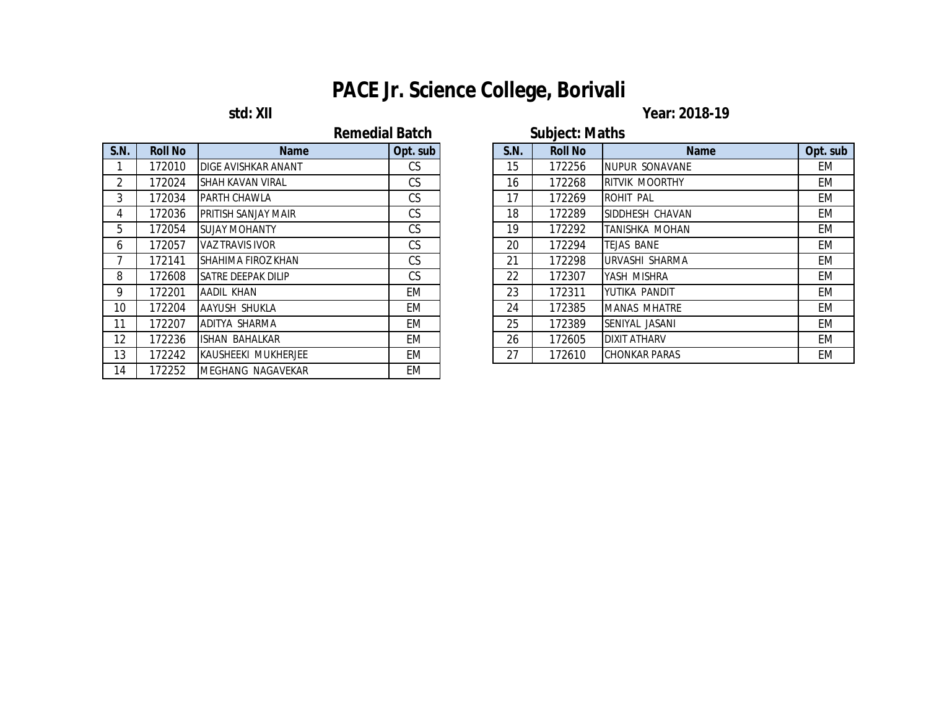## **std: XII** Year: 2018-19

| <b>Remedial Batch</b> |
|-----------------------|
|                       |

| <b>S.N.</b>    | <b>Roll No</b> | <b>Name</b>               | Opt. sub  |
|----------------|----------------|---------------------------|-----------|
| 1              | 172010         | DIGE AVISHKAR ANANT       | CS        |
| $\overline{2}$ | 172024         | <b>SHAH KAVAN VIRAL</b>   | CS        |
| 3              | 172034         | PARTH CHAWLA              | CS        |
| 4              | 172036         | PRITISH SANJAY MAIR       | <b>CS</b> |
| 5              | 172054         | <b>SUJAY MOHANTY</b>      | CS        |
| 6              | 172057         | <b>VAZ TRAVIS IVOR</b>    | CS        |
| 7              | 172141         | SHAHIMA FIROZ KHAN        | CS        |
| 8              | 172608         | <b>SATRE DEEPAK DILIP</b> | <b>CS</b> |
| 9              | 172201         | AADIL KHAN                | <b>EM</b> |
| 10             | 172204         | AAYUSH SHUKLA             | <b>EM</b> |
| 11             | 172207         | ADITYA SHARMA             | EM        |
| 12             | 172236         | <b>ISHAN BAHALKAR</b>     | EM        |
| 13             | 172242         | KAUSHEEKI MUKHERJEE       | EM        |
| 14             | 172252         | <b>MEGHANG NAGAVEKAR</b>  | <b>EM</b> |

|                 |                |                            | <b>Remedial Batch</b> |             | <b>Subject: Maths</b> |                       |           |
|-----------------|----------------|----------------------------|-----------------------|-------------|-----------------------|-----------------------|-----------|
| S.N.            | <b>Roll No</b> | <b>Name</b>                | Opt. sub              | <b>S.N.</b> | <b>Roll No</b>        | <b>Name</b>           | Opt. sub  |
|                 | 172010         | <b>DIGE AVISHKAR ANANT</b> | CS                    | 15          | 172256                | NUPUR SONAVANE        | <b>EM</b> |
| $\overline{2}$  | 172024         | SHAH KAVAN VIRAL           | CS.                   | 16          | 172268                | <b>RITVIK MOORTHY</b> | EM        |
| $\mathbf{3}$    | 172034         | PARTH CHAWLA               | CS                    | 17          | 172269                | ROHIT PAL             | <b>EM</b> |
| $\overline{4}$  | 172036         | <b>PRITISH SANJAY MAIR</b> | CS                    | 18          | 172289                | SIDDHESH CHAVAN       | EM        |
| 5               | 172054         | <b>SUJAY MOHANTY</b>       | CS                    | 19          | 172292                | TANISHKA MOHAN        | <b>EM</b> |
| 6               | 172057         | <b>VAZ TRAVIS IVOR</b>     | CS                    | 20          | 172294                | TEJAS BANE            | <b>EM</b> |
| $\overline{7}$  | 172141         | SHAHIMA FIROZ KHAN         | CS                    | 21          | 172298                | URVASHI SHARMA        | <b>EM</b> |
| 8               | 172608         | <b>SATRE DEEPAK DILIP</b>  | CS                    | 22          | 172307                | YASH MISHRA           | <b>EM</b> |
| 9               | 172201         | AADIL KHAN                 | EM                    | 23          | 172311                | YUTIKA PANDIT         | <b>EM</b> |
| 10 <sup>°</sup> | 172204         | AAYUSH SHUKLA              | EM                    | 24          | 172385                | <b>MANAS MHATRE</b>   | <b>EM</b> |
| 11              | 172207         | ADITYA SHARMA              | EM                    | 25          | 172389                | SENIYAL JASANI        | EM        |
| 12              | 172236         | <b>ISHAN BAHALKAR</b>      | EM                    | 26          | 172605                | <b>DIXIT ATHARV</b>   | EM        |
| 13              | 172242         | KAUSHEEKI MUKHERJEE        | EM                    | 27          | 172610                | <b>CHONKAR PARAS</b>  | EM        |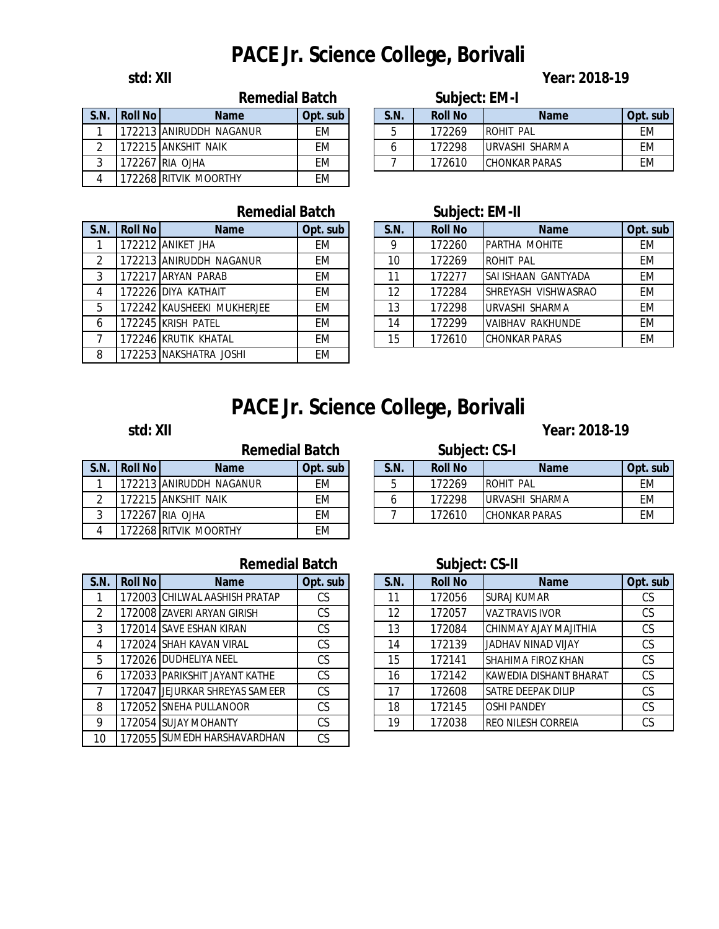### **std: XII Year: 2018-19**

| S.N.          | <b>Roll No</b> | <b>Name</b>             | Opt. sub  |
|---------------|----------------|-------------------------|-----------|
|               |                | 172213 ANIRUDDH NAGANUR | FM        |
| $\mathcal{P}$ |                | 172215 ANKSHIT NAIK     | <b>FM</b> |
| 3             |                | 172267 RIA OJHA         | FM        |
| 4             |                | 172268 RITVIK MOORTHY   | FM        |

| S.N.           | <b>Roll No</b> | <b>Name</b>                | Opt. sub  |
|----------------|----------------|----------------------------|-----------|
|                |                | 172212 ANIKET JHA          | <b>EM</b> |
| $\overline{2}$ |                | 172213 ANIRUDDH NAGANUR    | EM        |
| 3              |                | 172217 ARYAN PARAB         | EM        |
| 4              |                | 172226 DIYA KATHAIT        | <b>EM</b> |
| 5              |                | 172242 KAUSHEEKI MUKHERJEE | <b>EM</b> |
| 6              |                | 172245 KRISH PATEL         | <b>EM</b> |
| 7              |                | 172246 KRUTIK KHATAL       | EM        |
| 8              |                | 172253 NAKSHATRA JOSHI     | FM        |

### **S.N. Roll No Name Opt. sub S.N. Roll No Name Opt. sub** 1 |172213|ANIRUDDH NAGANUR | EM | | 5 | 172269 |ROHIT PAL | EM 6 172298 URVASHI SHARMA EM 7 | 172610 CHONKAR PARAS | EM **Remedial Batch Subject: EM-I**

### **Remedial Batch Subject: EM-II**

| S.N.           | <b>Roll No</b> | <b>Name</b>                | Opt. sub | S.N. | <b>Roll No</b> | <b>Name</b>          | Opt. sub  |
|----------------|----------------|----------------------------|----------|------|----------------|----------------------|-----------|
|                |                | 172212 ANIKET JHA          | EM       | o    | 172260         | <b>PARTHA MOHITE</b> | EM        |
| $\mathcal{P}$  |                | 172213 ANIRUDDH NAGANUR    | EM       | 10   | 172269         | <b>ROHIT PAL</b>     | EM        |
| 3              |                | 172217 ARYAN PARAB         | EM       |      | 172277         | SAI ISHAAN GANTYADA  | <b>EM</b> |
| $\overline{4}$ |                | 172226 DIYA KATHAIT        | EM       | 12   | 172284         | ISHREYASH VISHWASRAO | EM        |
| 5              |                | 172242 KAUSHEEKI MUKHERJEE | EM       | 13   | 172298         | URVASHI SHARMA       | EM        |
| 6              |                | 172245 KRISH PATEL         | EM       | 14   | 172299         | VAIBHAV RAKHUNDE     | <b>EM</b> |
|                |                | 172246 KRUTIK KHATAL       | EM       | 15   | 172610         | <b>CHONKAR PARAS</b> | EM        |

# **PACE Jr. Science College, Borivali**

### **std: XII Year: 2018-19**

|               |                | копсан васн             |           |
|---------------|----------------|-------------------------|-----------|
| S.N.          | <b>Roll No</b> | <b>Name</b>             | Opt. sub  |
| 1             |                | 172213 ANIRUDDH NAGANUR | FM        |
| $\mathcal{P}$ |                | 172215 ANKSHIT NAIK     | <b>FM</b> |
| 3             |                | 172267 RIA OJHA         | FM        |
| 4             |                | 172268 RITVIK MOORTHY   | FM        |

### **Remedial Batch Subject: CS-I**

|      |                  | NYHIYANI PAWII                |          |      | UWNIVVLI VV I  |                       |          |
|------|------------------|-------------------------------|----------|------|----------------|-----------------------|----------|
| S.N. | <b>Roll Noll</b> | <b>Name</b>                   | Opt. sub | S.N. | <b>Roll No</b> | <b>Name</b>           | Opt. sub |
|      |                  | 172213 ANIRUDDH NAGANUR       | EМ       |      | 172269         | <b>ROHIT</b><br>PAL   | EM       |
|      |                  | 172215 ANKSHIT<br><b>NAIK</b> | EМ       |      | 172298         | URVASHI SHARMA        | EM       |
|      | 172267           | 7 IRIA OJHA                   | EМ       |      | 172610         | <b>ICHONKAR PARAS</b> | EМ       |
|      |                  |                               |          |      |                |                       |          |

## Remedial Batch Subject: CS-II

| .N. | <b>Roll No</b> | <b>Name</b>                    | Opt. sub  |  | <b>S.N.</b> | <b>Roll No</b> | <b>Name</b>               | Opt. sub  |
|-----|----------------|--------------------------------|-----------|--|-------------|----------------|---------------------------|-----------|
|     |                | 172003 CHILWAL AASHISH PRATAP  | СS        |  | 11          | 172056         | <b>SURAJ KUMAR</b>        | CS        |
| 2   |                | 172008 ZAVERI ARYAN GIRISH     | CS        |  | 12          | 172057         | <b>VAZ TRAVIS IVOR</b>    | CS        |
| 3   |                | 172014 SAVE ESHAN KIRAN        | <b>CS</b> |  | 13          | 172084         | CHINMAY AJAY MAJITHIA     | CS        |
| 4   |                | 172024 SHAH KAVAN VIRAL        | СS        |  | 14          | 172139         | JADHAV NINAD VIJAY        | CS        |
| 5   |                | 172026 DUDHELIYA NEEL          | CS        |  | 15          | 172141         | SHAHIMA FIROZ KHAN        | CS        |
| 6   |                | 172033 PARIKSHIT JAYANT KATHE  | CS        |  | 16          | 172142         | IKAWEDIA DISHANT BHARAT   | CS        |
|     |                | 172047 JEJURKAR SHREYAS SAMEER | CS        |  | 17          | 172608         | <b>SATRE DEEPAK DILIP</b> | <b>CS</b> |
| 8   |                | 172052 SNEHA PULLANOOR         | <b>CS</b> |  | 18          | 172145         | <b>OSHI PANDEY</b>        | <b>CS</b> |
| 9   |                | 172054 SUJAY MOHANTY           | СS        |  | 19          | 172038         | <b>REO NILESH CORREIA</b> | <b>CS</b> |

## **S.N. Roll No Name Opt. sub S.N. Roll No Name Opt. sub**  $1$  172003 CHILWAL AASHISH PRATAP  $\overline{1}$  CS

|    | 17 L UU J | <u> 91 11 L V V / L / V I V 1 1 I V I I I I V I I / I I</u> | ◡◡ |
|----|-----------|-------------------------------------------------------------|----|
| 2  |           | 172008 ZAVERI ARYAN GIRISH                                  | CS |
| 3  |           | 172014 SAVE ESHAN KIRAN                                     | CS |
| 4  |           | 172024 SHAH KAVAN VIRAL                                     | CS |
| 5  |           | 172026 DUDHELIYA NEEL                                       | CS |
| 6  |           | 172033 PARIKSHIT JAYANT KATHE                               | CS |
| 7  |           | 172047 JEJURKAR SHREYAS SAMEER                              | CS |
| 8  |           | 172052 SNEHA PULLANOOR                                      | CS |
| 9  |           | 172054 SUJAY MOHANTY                                        | CS |
| 10 |           | 172055 SUMEDH HARSHAVARDHAN                                 | CS |